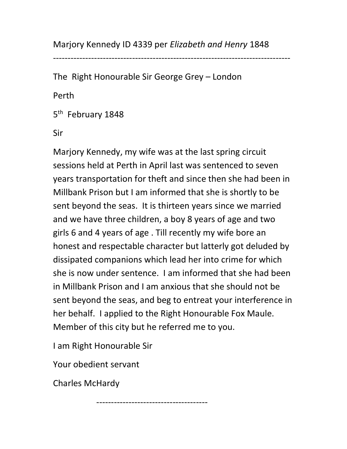Marjory Kennedy ID 4339 per Elizabeth and Henry 1848

---------------------------------------------------------------------------------

The Right Honourable Sir George Grey – London

Perth

5<sup>th</sup> February 1848

Sir

Marjory Kennedy, my wife was at the last spring circuit sessions held at Perth in April last was sentenced to seven years transportation for theft and since then she had been in Millbank Prison but I am informed that she is shortly to be sent beyond the seas. It is thirteen years since we married and we have three children, a boy 8 years of age and two girls 6 and 4 years of age . Till recently my wife bore an honest and respectable character but latterly got deluded by dissipated companions which lead her into crime for which she is now under sentence. I am informed that she had been in Millbank Prison and I am anxious that she should not be sent beyond the seas, and beg to entreat your interference in her behalf. I applied to the Right Honourable Fox Maule. Member of this city but he referred me to you.

--------------------------------------

I am Right Honourable Sir

Your obedient servant

Charles McHardy